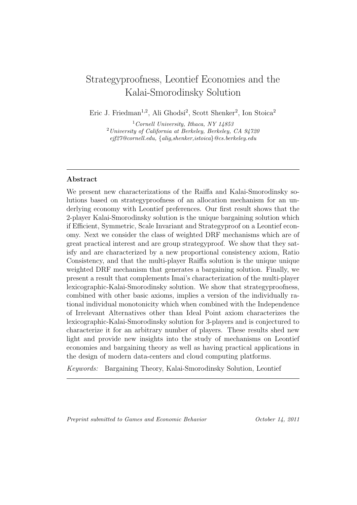# Strategyproofness, Leontief Economies and the Kalai-Smorodinsky Solution

Eric J. Friedman<sup>1,2</sup>, Ali Ghodsi<sup>2</sup>, Scott Shenker<sup>2</sup>, Ion Stoica<sup>2</sup>

<sup>1</sup>*Cornell University, Ithaca, NY 14853* <sup>2</sup>*University of California at Berkeley, Berkeley, CA 94720 ejf27@cornell.edu, {alig,shenker,istoica}@cs.berkeley.edu*

### **Abstract**

We present new characterizations of the Raiffa and Kalai-Smorodinsky solutions based on strategyproofness of an allocation mechanism for an underlying economy with Leontief preferences. Our first result shows that the 2-player Kalai-Smorodinsky solution is the unique bargaining solution which if Efficient, Symmetric, Scale Invariant and Strategyproof on a Leontief economy. Next we consider the class of weighted DRF mechanisms which are of great practical interest and are group strategyproof. We show that they satisfy and are characterized by a new proportional consistency axiom, Ratio Consistency, and that the multi-player Raiffa solution is the unique unique weighted DRF mechanism that generates a bargaining solution. Finally, we present a result that complements Imai's characterization of the multi-player lexicographic-Kalai-Smorodinsky solution. We show that strategyproofness, combined with other basic axioms, implies a version of the individually rational individual monotonicity which when combined with the Independence of Irrelevant Alternatives other than Ideal Point axiom characterizes the lexicographic-Kalai-Smorodinsky solution for 3-players and is conjectured to characterize it for an arbitrary number of players. These results shed new light and provide new insights into the study of mechanisms on Leontief economies and bargaining theory as well as having practical applications in the design of modern data-centers and cloud computing platforms.

*Keywords:* Bargaining Theory, Kalai-Smorodinsky Solution, Leontief

*Preprint submitted to Games and Economic Behavior October 14, 2011*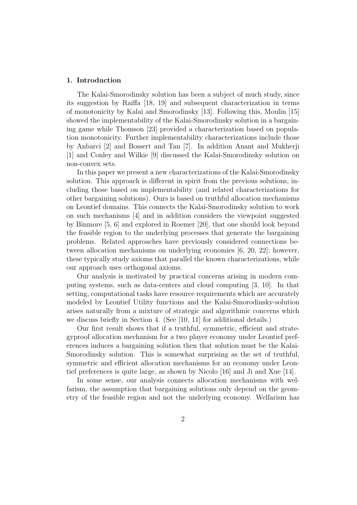#### **1. Introduction**

The Kalai-Smorodinsky solution has been a subject of much study, since its suggestion by Raiffa [18, 19] and subsequent characterization in terms of monotonicity by Kalai and Smorodinsky [13]. Following this, Moulin [15] showed the implementability of the Kalai-Smorodinsky solution in a bargaining game while Thomson [23] provided a characterization based on population monotonicity. Further implementability characterizations include those by Anbarci [2] and Bossert and Tan [7]. In addition Anant and Mukherji [1] and Conley and Wilkie [9] discussed the Kalai-Smorodinsky solution on non-convex sets.

In this paper we present a new characterizations of the Kalai-Smorodinsky solution. This approach is different in spirit from the previous solutions, including those based on implementability (and related characterizations for other bargaining solutions). Ours is based on truthful allocation mechanisms on Leontief domains. This connects the Kalai-Smorodinsky solution to work on such mechanisms [4] and in addition considers the viewpoint suggested by Binmore [5, 6] and explored in Roemer [20], that one should look beyond the feasible region to the underlying processes that generate the bargaining problems. Related approaches have previously considered connections between allocation mechanisms on underlying economies [6, 20, 22]; however, these typically study axioms that parallel the known characterizations, while our approach uses orthogonal axioms.

Our analysis is motivated by practical concerns arising in modern computing systems, such as data-centers and cloud computing [3, 10]. In that setting, computational tasks have resource requirements which are accurately modeled by Leontief Utility functions and the Kalai-Smorodinsky-solution arises naturally from a mixture of strategic and algorithmic concerns which we discuss briefly in Section 4. (See [10, 11] for additional details.)

Our first result shows that if a truthful, symmetric, efficient and strategyproof allocation mechanism for a two player economy under Leontief preferences induces a bargaining solution then that solution must be the Kalai-Smorodinsky solution. This is somewhat surprising as the set of truthful, symmetric and efficient allocation mechanisms for an economy under Leontief preferences is quite large, as shown by Nicolo [16] and Ji and Xue [14].

In some sense, our analysis connects allocation mechanisms with welfarism, the assumption that bargaining solutions only depend on the geometry of the feasible region and not the underlying economy. Welfarism has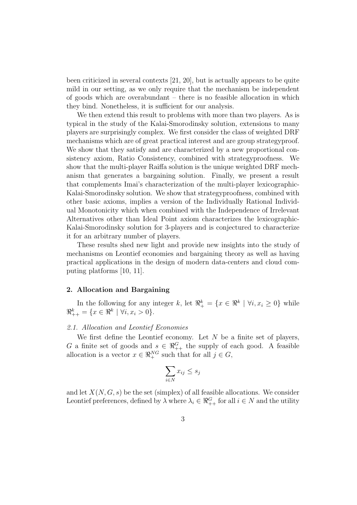been criticized in several contexts [21, 20], but is actually appears to be quite mild in our setting, as we only require that the mechanism be independent of goods which are overabundant – there is no feasible allocation in which they bind. Nonetheless, it is sufficient for our analysis.

We then extend this result to problems with more than two players. As is typical in the study of the Kalai-Smorodinsky solution, extensions to many players are surprisingly complex. We first consider the class of weighted DRF mechanisms which are of great practical interest and are group strategyproof. We show that they satisfy and are characterized by a new proportional consistency axiom, Ratio Consistency, combined with strategyproofness. We show that the multi-player Raiffa solution is the unique weighted DRF mechanism that generates a bargaining solution. Finally, we present a result that complements Imai's characterization of the multi-player lexicographic-Kalai-Smorodinsky solution. We show that strategyproofness, combined with other basic axioms, implies a version of the Individually Rational Individual Monotonicity which when combined with the Independence of Irrelevant Alternatives other than Ideal Point axiom characterizes the lexicographic-Kalai-Smorodinsky solution for 3-players and is conjectured to characterize it for an arbitrary number of players.

These results shed new light and provide new insights into the study of mechanisms on Leontief economies and bargaining theory as well as having practical applications in the design of modern data-centers and cloud computing platforms [10, 11].

#### **2. Allocation and Bargaining**

In the following for any integer *k*, let  $\Re^k_+ = \{x \in \Re^k \mid \forall i, x_i \geq 0\}$  while  $\mathbb{R}^k_{++} = \{x \in \mathbb{R}^k \mid \forall i, x_i > 0\}.$ 

#### *2.1. Allocation and Leontief Economies*

We first define the Leontief economy. Let *N* be a finite set of players, *G* a finite set of goods and  $s \in \Re^{G}_{++}$  the supply of each good. A feasible allocation is a vector  $x \in \mathbb{R}^{NG}_+$  such that for all  $j \in G$ ,

$$
\sum_{i \in N} x_{ij} \le s_j
$$

and let  $X(N, G, s)$  be the set (simplex) of all feasible allocations. We consider Leontief preferences, defined by  $\lambda$  where  $\lambda_i \in \Re_{++}^G$  for all  $i \in N$  and the utility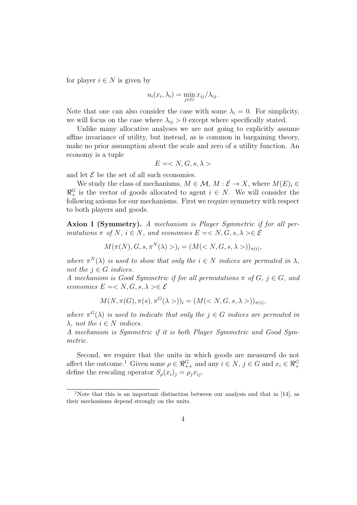for player  $i \in N$  is given by

$$
u_i(x_i, \lambda_i) = \min_{j \in G} x_{ij} / \lambda_{ij}.
$$

Note that one can also consider the case with some  $\lambda_i = 0$ . For simplicity, we will focus on the case where  $\lambda_{ij} > 0$  except where specifically stated.

Unlike many allocative analyses we are not going to explicitly assume affine invariance of utility, but instead, as is common in bargaining theory, make no prior assumption about the scale and zero of a utility function. An economy is a tuple

$$
E =
$$

and let  $\mathcal E$  be the set of all such economies.

We study the class of mechanisms,  $M \in \mathcal{M}$ ,  $M : \mathcal{E} \to X$ , where  $M(E)_i \in$  $\mathbb{R}^G_+$  is the vector of goods allocated to agent  $i \in N$ . We will consider the following axioms for our mechanisms. First we require symmetry with respect to both players and goods.

**Axion 1 (Symmetry).** *A mechanism is Player Symmetric if for all permutations*  $\pi$  *of*  $N$ *,*  $i \in N$ *, and economies*  $E = \langle N, G, s, \lambda \rangle \in \mathcal{E}$ 

$$
M(\pi(N), G, s, \pi^N(\lambda))_i = (M(
$$

*where*  $\pi^{N}(\lambda)$  *is used to show that only the*  $i \in N$  *indices are permuted in*  $\lambda$ *, not the*  $j \in G$  *indices.* 

*A* mechanism is Good Symmetric if for all permutations  $\pi$  of  $G$ ,  $j \in G$ , and *economies*  $E = \langle N, G, s, \lambda \rangle \in \mathcal{E}$ 

$$
M(N, \pi(G), \pi(s), \pi^{G}(\lambda >))_{i} = (M())_{\pi(i)},
$$

*where*  $\pi^{G}(\lambda)$  *is used to indicate that only the*  $j \in G$  *indices are permuted in*  $λ$ *, not the*  $i ∈ N$  *indices.* 

*A mechanism is Symmetric if it is both Player Symmetric and Good Symmetric.*

Second, we require that the units in which goods are measured do not affect the outcome.<sup>1</sup> Given some  $\rho \in \Re^{G}_{++}$  and any  $i \in N$ ,  $j \in G$  and  $x_i \in \Re^{G}_{+}$ define the rescaling operator  $S_\rho(x_i)_j = \rho_j x_{ij}$ .

<sup>&</sup>lt;sup>1</sup>Note that this is an important distinction between our analysis and that in [14], as their mechanisms depend strongly on the units.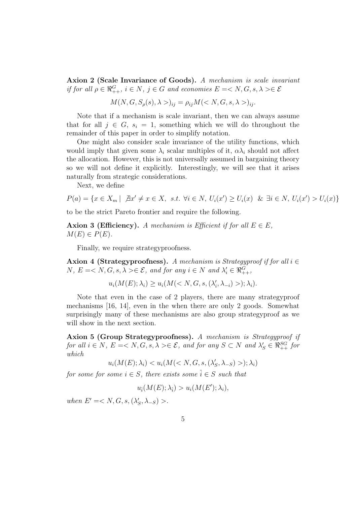**Axion 2 (Scale Invariance of Goods).** *A mechanism is scale invariant if for all*  $\rho \in \Re^{G}_{++}$ ,  $i \in N$ ,  $j \in G$  *and economies*  $E = \langle N, G, s, \lambda \rangle \in \mathcal{E}$ 

 $M(N, G, S_\rho(s), \lambda>)_{ij} = \rho_{ij} M(< N, G, s, \lambda>)_{ij}$ .

Note that if a mechanism is scale invariant, then we can always assume that for all  $j \in G$ ,  $s_i = 1$ , something which we will do throughout the remainder of this paper in order to simplify notation.

One might also consider scale invariance of the utility functions, which would imply that given some  $\lambda_i$  scalar multiples of it,  $\alpha \lambda_i$  should not affect the allocation. However, this is not universally assumed in bargaining theory so we will not define it explicitly. Interestingly, we will see that it arises naturally from strategic considerations.

Next, we define

$$
P(a) = \{ x \in X_m \mid \exists x' \neq x \in X, \ s.t. \ \forall i \in N, \ U_i(x') \ge U_i(x) \ \& \ \exists i \in N, \ U_i(x') > U_i(x) \}
$$

to be the strict Pareto frontier and require the following.

**Axion 3 (Efficiency).** *A mechanism is Efficient if for all*  $E \in E$ *,*  $M(E) \in P(E)$ .

Finally, we require strategyproofness.

**Axion 4 (Strategyproofness).** *A mechanism is Strategyproof if for all i ∈ N*,  $E = \langle N, G, s, \lambda \rangle \in \mathcal{E}$ , and for any  $i \in N$  and  $\lambda'_i \in \Re_{++}^G$ ,

$$
u_i(M(E); \lambda_i) \ge u_i(M() ; \lambda_i).
$$

Note that even in the case of 2 players, there are many strategyproof mechanisms [16, 14], even in the when there are only 2 goods. Somewhat surprisingly many of these mechanisms are also group strategyproof as we will show in the next section.

**Axion 5 (Group Strategyproofness).** *A mechanism is Strategyproof if for all*  $i \in N$ *,*  $E = \langle N, G, s, \lambda \rangle \in \mathcal{E}$ *, and for any*  $S \subset N$  *and*  $\lambda'_{S} \in \Re_{++}^{SG}$  *for which*

$$
u_i(M(E); \lambda_i) < u_i(M();="" (\lambda'_s,="" \lambda_i)<="" \lambda_{-s})="" g,="" math="" s,="">
$$

*for some for some*  $i \in S$ *, there exists some*  $\hat{i} \in S$  *such that* 

 $u_i(M(E); \lambda_i) > u_i(M(E'); \lambda_i),$ 

*when*  $E' = \langle N, G, s, (\lambda'_S, \lambda_{-S}) \rangle$ .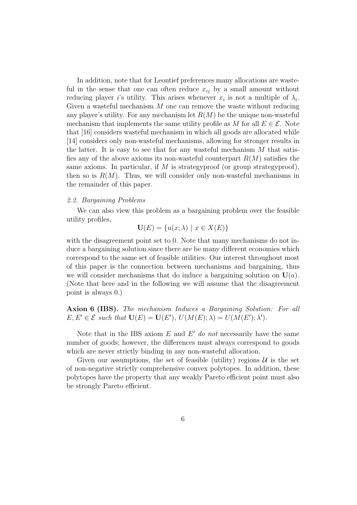In addition, note that for Leontief preferences many allocations are wasteful in the sense that one can often reduce  $x_{ij}$  by a small amount without reducing player *i*'s utility. This arises whenever  $x_i$  is not a multiple of  $\lambda_i$ . Given a wasteful mechanism *M* one can remove the waste without reducing any player's utility. For any mechanism let  $R(M)$  be the unique non-wasteful mechanism that implements the same utility profile as *M* for all  $E \in \mathcal{E}$ . Note that [16] considers wasteful mechanism in which all goods are allocated while [14] considers only non-wasteful mechanisms, allowing for stronger results in the latter. It is easy to see that for any wasteful mechanism *M* that satisfies any of the above axioms its non-wasteful counterpart *R*(*M*) satisfies the same axioms. In particular, if *M* is strategyproof (or group strategyproof), then so is  $R(M)$ . Thus, we will consider only non-wasteful mechanisms in the remainder of this paper.

#### *2.2. Bargaining Problems*

We can also view this problem as a bargaining problem over the feasible utility profiles,

$$
\mathbf{U}(E) = \{u(x; \lambda) \mid x \in X(E)\}\
$$

with the disagreement point set to 0. Note that many mechanisms do not induce a bargaining solution since there are be many different economies which correspond to the same set of feasible utilities. Our interest throughout most of this paper is the connection between mechanisms and bargaining, thus we will consider mechanisms that do induce a bargaining solution on  $U(a)$ . (Note that here and in the following we will assume that the disagreement point is always 0.)

**Axion 6 (IBS).** *The mechanism Induces a Bargaining Solution: For all*  $E, E' \in \mathcal{E}$  *such that*  $U(E) = U(E'), U(M(E); \lambda) = U(M(E'); \lambda').$ 

Note that in the IBS axiom *E* and *E ′ do not* necessarily have the same number of goods; however, the differences must always correspond to goods which are never strictly binding in any non-wasteful allocation.

Given our assumptions, the set of feasible (utility) regions  $\mathcal U$  is the set of non-negative strictly comprehensive convex polytopes. In addition, these polytopes have the property that any weakly Pareto efficient point must also be strongly Pareto efficient.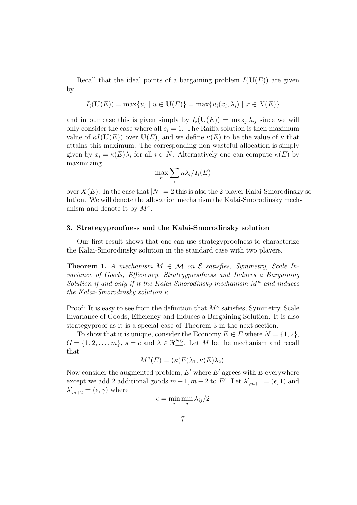Recall that the ideal points of a bargaining problem  $I(\mathbf{U}(E))$  are given by

$$
I_i(\mathbf{U}(E)) = \max\{u_i \mid u \in \mathbf{U}(E)\} = \max\{u_i(x_i, \lambda_i) \mid x \in X(E)\}
$$

and in our case this is given simply by  $I_i(\mathbf{U}(E)) = \max_i \lambda_{ij}$  since we will only consider the case where all  $s_i = 1$ . The Raiffa solution is then maximum value of  $\kappa I(\mathbf{U}(E))$  over  $\mathbf{U}(E)$ , and we define  $\kappa(E)$  to be the value of  $\kappa$  that attains this maximum. The corresponding non-wasteful allocation is simply given by  $x_i = \kappa(E)\lambda_i$  for all  $i \in N$ . Alternatively one can compute  $\kappa(E)$  by maximizing

$$
\max_{\kappa} \sum_{i} \kappa \lambda_{i} / I_{i}(E)
$$

over  $X(E)$ . In the case that  $|N|=2$  this is also the 2-player Kalai-Smorodinsky solution. We will denote the allocation mechanism the Kalai-Smorodinsky mechanism and denote it by  $M^{\kappa}$ .

#### **3. Strategyproofness and the Kalai-Smorodinsky solution**

Our first result shows that one can use strategyproofness to characterize the Kalai-Smorodinsky solution in the standard case with two players.

**Theorem 1.** *A mechanism*  $M \in \mathcal{M}$  *on*  $\mathcal{E}$  *satisfies, Symmetry, Scale Invariance of Goods, Efficiency, Strategyproofness and Induces a Bargaining Solution if and only if it the Kalai-Smorodinsky mechanism M<sup>κ</sup> and induces the Kalai-Smorodinsky solution κ.*

Proof: It is easy to see from the definition that  $M^{\kappa}$  satisfies, Symmetry, Scale Invariance of Goods, Efficiency and Induces a Bargaining Solution. It is also strategyproof as it is a special case of Theorem 3 in the next section.

To show that it is unique, consider the Economy  $E \in E$  where  $N = \{1, 2\}$ ,  $G = \{1, 2, \ldots, m\}, s = e \text{ and } \lambda \in \Re_{++}^{NG}$ . Let *M* be the mechanism and recall that

$$
M^{\kappa}(E) = (\kappa(E)\lambda_1, \kappa(E)\lambda_2).
$$

Now consider the augmented problem,  $E'$  where  $E'$  agrees with  $E$  everywhere except we add 2 additional goods  $m + 1, m + 2$  to *E'*. Let  $\lambda'_{m+1} = (\epsilon, 1)$  and  $\lambda'_{m+2} = (\epsilon, \gamma)$  where

$$
\epsilon = \min_i \min_j \lambda_{ij}/2
$$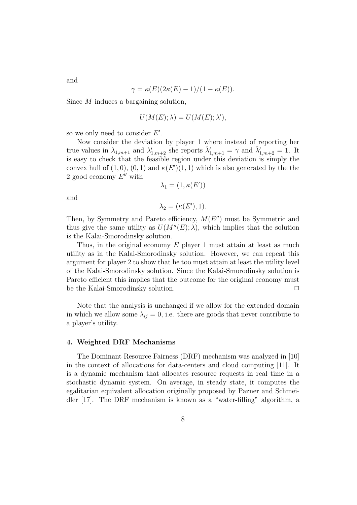$\gamma = \kappa(E)(2\kappa(E) - 1)/(1 - \kappa(E)).$ 

Since *M* induces a bargaining solution,

$$
U(M(E); \lambda) = U(M(E); \lambda'),
$$

so we only need to consider *E ′* .

Now consider the deviation by player 1 where instead of reporting her true values in  $\lambda_{1,m+1}$  and  $\lambda'_{1,m+2}$  she reports  $\hat{\lambda}'_{1,m+1} = \gamma$  and  $\hat{\lambda}'_{1,m+2} = 1$ . It is easy to check that the feasible region under this deviation is simply the convex hull of  $(1,0)$ ,  $(0,1)$  and  $\kappa(E')(1,1)$  which is also generated by the the 2 good economy *E ′′* with

$$
\lambda_1 = (1, \kappa(E'))
$$

and

$$
\lambda_2 = (\kappa(E'), 1).
$$

Then, by Symmetry and Pareto efficiency, *M*(*E ′′*) must be Symmetric and thus give the same utility as  $U(M^k(E); \lambda)$ , which implies that the solution is the Kalai-Smorodinsky solution.

Thus, in the original economy *E* player 1 must attain at least as much utility as in the Kalai-Smorodinsky solution. However, we can repeat this argument for player 2 to show that he too must attain at least the utility level of the Kalai-Smorodinsky solution. Since the Kalai-Smorodinsky solution is Pareto efficient this implies that the outcome for the original economy must be the Kalai-Smorodinsky solution. **□** 

Note that the analysis is unchanged if we allow for the extended domain in which we allow some  $\lambda_{ij} = 0$ , i.e. there are goods that never contribute to a player's utility.

#### **4. Weighted DRF Mechanisms**

The Dominant Resource Fairness (DRF) mechanism was analyzed in [10] in the context of allocations for data-centers and cloud computing [11]. It is a dynamic mechanism that allocates resource requests in real time in a stochastic dynamic system. On average, in steady state, it computes the egalitarian equivalent allocation originally proposed by Pazner and Schmeidler [17]. The DRF mechanism is known as a "water-filling" algorithm, a

and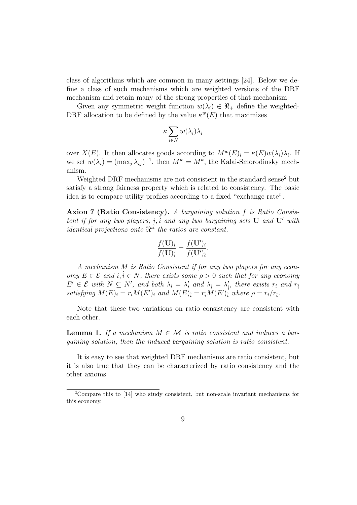class of algorithms which are common in many settings [24]. Below we define a class of such mechanisms which are weighted versions of the DRF mechanism and retain many of the strong properties of that mechanism.

Given any symmetric weight function  $w(\lambda_i) \in \Re_+$  define the weighted-DRF allocation to be defined by the value  $\kappa^{w}(E)$  that maximizes

$$
\kappa \sum_{i \in N} w(\lambda_i) \lambda_i
$$

over  $X(E)$ . It then allocates goods according to  $M^w(E)_i = \kappa(E)w(\lambda_i)\lambda_i$ . If we set  $w(\lambda_i) = (\max_j \lambda_{ij})^{-1}$ , then  $M^w = M^{\kappa}$ , the Kalai-Smorodinsky mechanism.

Weighted DRF mechanisms are not consistent in the standard sense<sup>2</sup> but satisfy a strong fairness property which is related to consistency. The basic idea is to compare utility profiles according to a fixed "exchange rate".

**Axion 7 (Ratio Consistency).** *A bargaining solution f is Ratio Consistent if for any two players, i, i and any two bargaining sets* **U** and **U***<sup><i>'*</sup> with *identical projections onto ℜ i*ˆ*i the ratios are constant,*

$$
\frac{f(\mathbf{U})_i}{f(\mathbf{U})_{\hat{i}}} = \frac{f(\mathbf{U}')_i}{f(\mathbf{U}')_{\hat{i}}}.
$$

*A mechanism M is Ratio Consistent if for any two players for any econ* $omy E \in \mathcal{E}$  and  $i, \hat{i} \in N$ , there exists some  $\rho > 0$  such that for any economy  $E' \in \mathcal{E}$  with  $N \subseteq N'$ , and both  $\lambda_i = \lambda'_i$  and  $\lambda_i = \lambda'_i$ , there exists  $r_i$  and  $r_i$ satisfying  $M(E)_i = r_i M(E')_i$  and  $M(E)_{\hat{i}} = r_{\hat{i}} M(E')_{\hat{i}}$  where  $\rho = r_i/r_{\hat{i}}$ .

Note that these two variations on ratio consistency are consistent with each other.

**Lemma 1.** If a mechanism  $M \in \mathcal{M}$  is ratio consistent and induces a bar*gaining solution, then the induced bargaining solution is ratio consistent.*

It is easy to see that weighted DRF mechanisms are ratio consistent, but it is also true that they can be characterized by ratio consistency and the other axioms.

<sup>2</sup>Compare this to [14] who study consistent, but non-scale invariant mechanisms for this economy.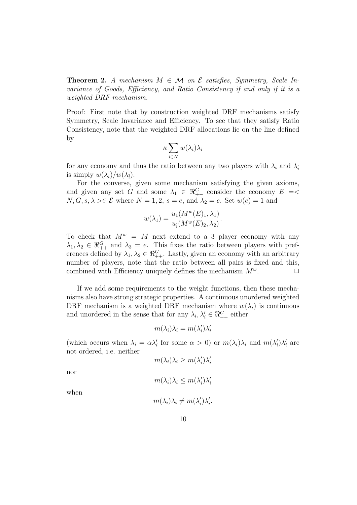**Theorem 2.** *A mechanism*  $M \in \mathcal{M}$  *on*  $\mathcal{E}$  *satisfies, Symmetry, Scale Invariance of Goods, Efficiency, and Ratio Consistency if and only if it is a weighted DRF mechanism.*

Proof: First note that by construction weighted DRF mechanisms satisfy Symmetry, Scale Invariance and Efficiency. To see that they satisfy Ratio Consistency, note that the weighted DRF allocations lie on the line defined by

$$
\kappa \sum_{i \in N} w(\lambda_i) \lambda_i
$$

for any economy and thus the ratio between any two players with  $\lambda_i$  and  $\lambda_i$ is simply  $w(\lambda_i)/w(\lambda_i)$ .

For the converse, given some mechanism satisfying the given axioms, and given any set *G* and some  $\lambda_1 \in \Re_{++}^G$  consider the economy  $E = \langle$  $N, G, s, \lambda \geq \varepsilon$  where  $N = 1, 2, s = e$ , and  $\lambda_2 = e$ . Set  $w(e) = 1$  and

$$
w(\lambda_1) = \frac{u_1(M^w(E)_1, \lambda_1)}{u_1(M^w(E)_2, \lambda_2)}.
$$

To check that  $M^w = M$  next extend to a 3 player economy with any  $\lambda_1, \lambda_2 \in \Re^{G}_{++}$  and  $\lambda_3 = e$ . This fixes the ratio between players with preferences defined by  $\lambda_1, \lambda_2 \in \Re_{++}^G$ . Lastly, given an economy with an arbitrary number of players, note that the ratio between all pairs is fixed and this, combined with Efficiency uniquely defines the mechanism  $M^w$ .  $\Box$ 

If we add some requirements to the weight functions, then these mechanisms also have strong strategic properties. A continuous unordered weighted DRF mechanism is a weighted DRF mechanism where  $w(\lambda_i)$  is continuous and unordered in the sense that for any  $\lambda_i, \lambda'_i \in \Re_{++}^G$  either

$$
m(\lambda_i)\lambda_i = m(\lambda_i')\lambda_i'
$$

(which occurs when  $\lambda_i = \alpha \lambda'_i$  for some  $\alpha > 0$ ) or  $m(\lambda_i) \lambda_i$  and  $m(\lambda'_i) \lambda'_i$  are not ordered, i.e. neither

$$
m(\lambda_i)\lambda_i \ge m(\lambda_i')\lambda_i'
$$

nor

$$
m(\lambda_i)\lambda_i \le m(\lambda_i')\lambda_i'
$$

when

$$
m(\lambda_i)\lambda_i \neq m(\lambda'_i)\lambda'_i.
$$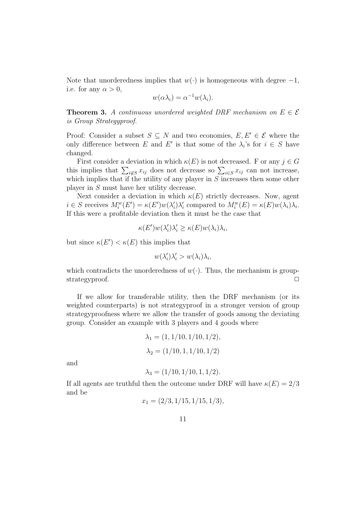Note that unorderedness implies that *w*(*·*) is homogeneous with degree *−*1, i.e. for any  $\alpha > 0$ ,

$$
w(\alpha \lambda_i) = \alpha^{-1} w(\lambda_i).
$$

**Theorem 3.** *A continuous unordered weighted DRF mechanism on*  $E \in \mathcal{E}$ *is Group Strategyproof.*

Proof: Consider a subset  $S \subseteq N$  and two economies,  $E, E' \in \mathcal{E}$  where the only difference between *E* and *E'* is that some of the  $\lambda_i$ 's for  $i \in S$  have changed.

First consider a deviation in which  $\kappa(E)$  is not decreased. F or any  $j \in G$ this implies that  $\sum_{i \notin S} x_{ij}$  does not decrease so  $\sum_{i \in S} x_{ij}$  can not increase, which implies that if the utility of any player in *S* increases then some other player in *S* must have her utility decrease.

Next consider a deviation in which  $\kappa(E)$  strictly decreases. Now, agent  $i \in S$  receives  $M_i^w(E') = \kappa(E')w(\lambda_i')\lambda_i'$  compared to  $M_i^w(E) = \kappa(E)w(\lambda_i)\lambda_i$ . If this were a profitable deviation then it must be the case that

$$
\kappa(E')w(\lambda_i')\lambda_i' \geq \kappa(E)w(\lambda_i)\lambda_i,
$$

but since  $\kappa(E') < \kappa(E)$  this implies that

$$
w(\lambda_i')\lambda_i' > w(\lambda_i)\lambda_i,
$$

which contradicts the unorderedness of  $w(\cdot)$ . Thus, the mechanism is groupstrategyproof.  $\Box$ 

If we allow for transferable utility, then the DRF mechanism (or its weighted counterparts) is not strategyproof in a stronger version of group strategyproofness where we allow the transfer of goods among the deviating group. Consider an example with 3 players and 4 goods where

$$
\lambda_1 = (1, 1/10, 1/10, 1/2),
$$
  

$$
\lambda_2 = (1/10, 1, 1/10, 1/2)
$$

and

$$
\lambda_3 = (1/10, 1/10, 1, 1/2).
$$

If all agents are truthful then the outcome under DRF will have  $\kappa(E) = 2/3$ and be

$$
x_1 = (2/3, 1/15, 1/15, 1/3),
$$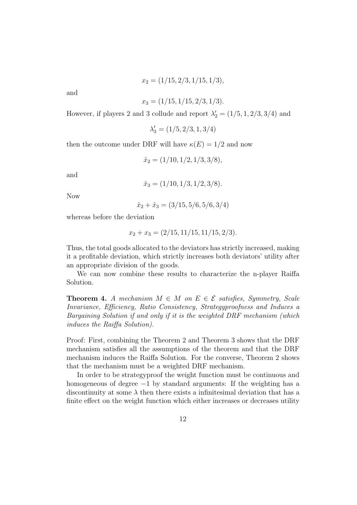$$
x_2 = (1/15, 2/3, 1/15, 1/3),
$$

and

$$
x_3 = (1/15, 1/15, 2/3, 1/3).
$$

However, if players 2 and 3 collude and report  $\lambda'_2 = (1/5, 1, 2/3, 3/4)$  and

$$
\lambda'_3=(1/5,2/3,1,3/4)
$$

then the outcome under DRF will have  $\kappa(E) = 1/2$  and now

$$
\hat{x}_2 = (1/10, 1/2, 1/3, 3/8),
$$

and

$$
\hat{x}_3 = (1/10, 1/3, 1/2, 3/8).
$$

Now

$$
\hat{x}_2 + \hat{x}_3 = (3/15, 5/6, 5/6, 3/4)
$$

whereas before the deviation

$$
x_2 + x_3 = (2/15, 11/15, 11/15, 2/3).
$$

Thus, the total goods allocated to the deviators has strictly increased, making it a profitable deviation, which strictly increases both deviators' utility after an appropriate division of the goods.

We can now combine these results to characterize the n-player Raiffa Solution.

**Theorem 4.** *A mechanism*  $M \in M$  *on*  $E \in \mathcal{E}$  *satisfies, Symmetry, Scale Invariance, Efficiency, Ratio Consistency, Strategyproofness and Induces a Bargaining Solution if and only if it is the weighted DRF mechanism (which induces the Raiffa Solution).*

Proof: First, combining the Theorem 2 and Theorem 3 shows that the DRF mechanism satisfies all the assumptions of the theorem and that the DRF mechanism induces the Raiffa Solution. For the converse, Theorem 2 shows that the mechanism must be a weighted DRF mechanism.

In order to be strategyproof the weight function must be continuous and homogeneous of degree *−*1 by standard arguments: If the weighting has a discontinuity at some  $\lambda$  then there exists a infinitesimal deviation that has a finite effect on the weight function which either increases or decreases utility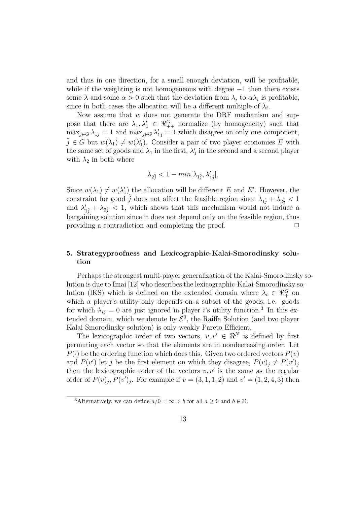and thus in one direction, for a small enough deviation, will be profitable, while if the weighting is not homogeneous with degree *−*1 then there exists some  $\lambda$  and some  $\alpha > 0$  such that the deviation from  $\lambda_i$  to  $\alpha \lambda_i$  is profitable, since in both cases the allocation will be a different multiple of  $\lambda_i$ .

Now assume that *w* does not generate the DRF mechanism and suppose that there are  $\lambda_1, \lambda'_1 \in \Re^G_{++}$  normalize (by homogeneity) such that  $\max_{j \in G} \lambda_{1j} = 1$  and  $\max_{j \in G} \lambda'_{1j} = 1$  which disagree on only one component,  $\hat{j} \in G$  but  $w(\lambda_1) \neq w(\lambda'_1)$ . Consider a pair of two player economies E with the same set of goods and  $\lambda_1$  in the first,  $\lambda'_1$  in the second and a second player with  $\lambda_2$  in both where

$$
\lambda_{2\hat{j}} < 1 - \min[\lambda_{1\hat{j}}, \lambda'_{1\hat{j}}].
$$

Since  $w(\lambda_1) \neq w(\lambda'_1)$  the allocation will be different *E* and *E'*. However, the constraint for good  $\hat{j}$  does not affect the feasible region since  $\lambda_{1\hat{i}} + \lambda_{2\hat{i}} < 1$ and  $\lambda'_{1j} + \lambda_{2j} < 1$ , which shows that this mechanism would not induce a bargaining solution since it does not depend only on the feasible region, thus providing a contradiction and completing the proof.  $\Box$ 

## **5. Strategyproofness and Lexicographic-Kalai-Smorodinsky solution**

Perhaps the strongest multi-player generalization of the Kalai-Smorodinsky solution is due to Imai [12] who describes the lexicographic-Kalai-Smorodinsky solution (IKS) which is defined on the extended domain where  $\lambda_i \in \mathbb{R}_+^G$  on which a player's utility only depends on a subset of the goods, i.e. goods for which  $\lambda_{ij} = 0$  are just ignored in player *i*'s utility function.<sup>3</sup> In this extended domain, which we denote by  $\mathcal{E}^0$ , the Raiffa Solution (and two player Kalai-Smorodinsky solution) is only weakly Pareto Efficient.

The lexicographic order of two vectors,  $v, v' \in \mathbb{R}^N$  is defined by first permuting each vector so that the elements are in nondecreasing order. Let  $P(\cdot)$  be the ordering function which does this. Given two ordered vectors  $P(v)$ and  $P(v')$  let *j* be the first element on which they disagree,  $P(v)_j \neq P(v')_j$ then the lexicographic order of the vectors  $v, v'$  is the same as the regular order of  $P(v)_{j}$ ,  $P(v')_{j}$ . For example if  $v = (3, 1, 1, 2)$  and  $v' = (1, 2, 4, 3)$  then

<sup>&</sup>lt;sup>3</sup>Alternatively, we can define  $a/0 = \infty > b$  for all  $a \ge 0$  and  $b \in \Re$ .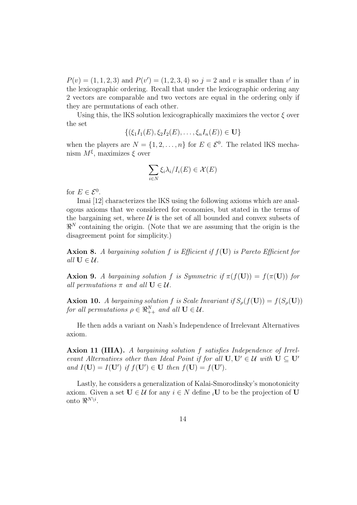$P(v) = (1, 1, 2, 3)$  and  $P(v') = (1, 2, 3, 4)$  so  $j = 2$  and *v* is smaller than *v*' in the lexicographic ordering. Recall that under the lexicographic ordering any 2 vectors are comparable and two vectors are equal in the ordering only if they are permutations of each other.

Using this, the lKS solution lexicographically maximizes the vector  $\xi$  over the set

$$
\{(\xi_1I_1(E), \xi_2I_2(E), \ldots, \xi_nI_n(E)) \in U\}
$$

when the players are  $N = \{1, 2, \ldots, n\}$  for  $E \in \mathcal{E}^0$ . The related IKS mechanism *M<sup>ξ</sup>* , maximizes *ξ* over

$$
\sum_{i\in N}\xi_i\lambda_i/I_i(E)\in\mathcal{X}(E)
$$

for  $E \in \mathcal{E}^0$ .

Imai [12] characterizes the lKS using the following axioms which are analogous axioms that we considered for economies, but stated in the terms of the bargaining set, where  $U$  is the set of all bounded and convex subsets of *ℜ <sup>N</sup>* containing the origin. (Note that we are assuming that the origin is the disagreement point for simplicity.)

**Axion 8.** *A bargaining solution f is Efficient if f*(**U**) *is Pareto Efficient for all*  $U \in \mathcal{U}$ *.* 

**Axion 9.** *A bargaining solution f is Symmetric if*  $\pi(f(\mathbf{U})) = f(\pi(\mathbf{U}))$  *for all permutations*  $\pi$  *and all*  $\mathbf{U} \in \mathcal{U}$ *.* 

**Axion 10.** *A bargaining solution*  $f$  *is Scale Invariant if*  $S_\rho(f(\mathbf{U})) = f(S_\rho(\mathbf{U}))$ *for all permutations*  $\rho \in \Re_{++}^N$  *and all*  $\mathbf{U} \in \mathcal{U}$ *.* 

He then adds a variant on Nash's Independence of Irrelevant Alternatives axiom.

**Axion 11 (IIIA).** *A bargaining solution f satisfies Independence of Irrelevant Alternatives other than Ideal Point if for all*  $U, U' \in \mathcal{U}$  *with*  $U \subset U'$ *and*  $I(\mathbf{U}) = I(\mathbf{U}')$  *if*  $f(\mathbf{U}') \in \mathbf{U}$  *then*  $f(\mathbf{U}) = f(\mathbf{U}')$ *.* 

Lastly, he considers a generalization of Kalai-Smorodinsky's monotonicity axiom. Given a set  $U \in \mathcal{U}$  for any  $i \in N$  define  $i$ **U** to be the projection of **U** onto  $\Re^{N\setminus i}$ .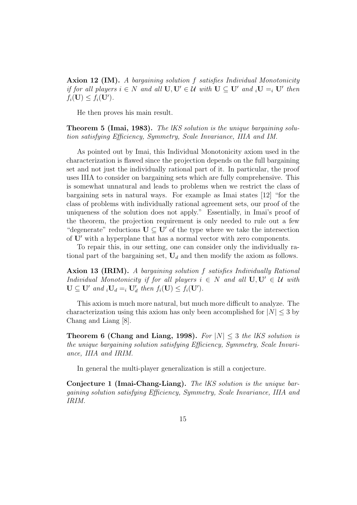**Axion 12 (IM).** *A bargaining solution f satisfies Individual Monotonicity* if for all players  $i \in N$  and all  $U, U' \in \mathcal{U}$  with  $U \subseteq U'$  and  $_iU =_i U'$  then  $f_i(\mathbf{U}) \leq f_i(\mathbf{U}')$ .

He then proves his main result.

**Theorem 5 (Imai, 1983).** *The lKS solution is the unique bargaining solution satisfying Efficiency, Symmetry, Scale Invariance, IIIA and IM.*

As pointed out by Imai, this Individual Monotonicity axiom used in the characterization is flawed since the projection depends on the full bargaining set and not just the individually rational part of it. In particular, the proof uses IIIA to consider on bargaining sets which are fully comprehensive. This is somewhat unnatural and leads to problems when we restrict the class of bargaining sets in natural ways. For example as Imai states [12] "for the class of problems with individually rational agreement sets, our proof of the uniqueness of the solution does not apply." Essentially, in Imai's proof of the theorem, the projection requirement is only needed to rule out a few "degenerate" reductions  $U \subseteq U'$  of the type where we take the intersection of **U***′* with a hyperplane that has a normal vector with zero components.

To repair this, in our setting, one can consider only the individually rational part of the bargaining set,  $U_d$  and then modify the axiom as follows.

**Axion 13 (IRIM).** *A bargaining solution f satisfies Individually Rational Individual Monotonicity if for all players*  $i \in N$  *and all*  $\mathbf{U}, \mathbf{U}' \in \mathcal{U}$  *with*  $\mathbf{U} \subseteq \mathbf{U}'$  and  $_i\mathbf{U}_d =_i \mathbf{U}'_d$  then  $f_i(\mathbf{U}) \leq f_i(\mathbf{U}')$ .

This axiom is much more natural, but much more difficult to analyze. The characterization using this axiom has only been accomplished for  $|N| \leq 3$  by Chang and Liang [8].

**Theorem 6 (Chang and Liang, 1998).** *For |N| ≤* 3 *the lKS solution is the unique bargaining solution satisfying Efficiency, Symmetry, Scale Invariance, IIIA and IRIM.*

In general the multi-player generalization is still a conjecture.

**Conjecture 1 (Imai-Chang-Liang).** *The lKS solution is the unique bargaining solution satisfying Efficiency, Symmetry, Scale Invariance, IIIA and IRIM.*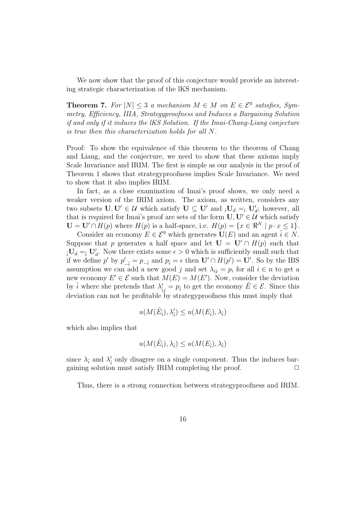We now show that the proof of this conjecture would provide an interesting strategic characterization of the lKS mechanism.

**Theorem 7.** For  $|N| \leq 3$  *a mechanism*  $M \in M$  *on*  $E \in \mathcal{E}^0$  *satisfies, Symmetry, Efficiency, IIIA, Strategyproofness and Induces a Bargaining Solution if and only if it induces the lKS Solution. If the Imai-Chang-Liang conjecture is true then this characterization holds for all N.*

Proof: To show the equivalence of this theorem to the theorem of Chang and Liang, and the conjecture, we need to show that these axioms imply Scale Invariance and IRIM. The first is simple as our analysis in the proof of Theorem 1 shows that strategyproofness implies Scale Invariance. We need to show that it also implies IRIM.

In fact, as a close examination of Imai's proof shows, we only need a weaker version of the IRIM axiom. The axiom, as written, considers any two subsets  $U, U' \in \mathcal{U}$  which satisfy  $U \subseteq U'$  and  $_iU_d =_i U'_d$ ; however, all that is required for Imai's proof are sets of the form  $U, U' \in \mathcal{U}$  which satisfy  $\mathbf{U} = \mathbf{U}' \cap H(p)$  where  $H(p)$  is a half-space, i.e.  $H(p) = \{x \in \mathbb{R}^N \mid p \cdot x \leq 1\}.$ 

Consider an economy  $E \in \mathcal{E}^0$  which generates  $\mathbf{U}(E)$  and an agent  $\hat{i} \in N$ . Suppose that *p* generates a half space and let  $\mathbf{U} = \mathbf{U}' \cap H(p)$  such that  $\partial_i U_d = \partial_i U'_d$ . Now there exists some  $\epsilon > 0$  which is sufficiently small such that if we define p' by  $p'_{-\hat{i}} = p_{-\hat{i}}$  and  $p_{\hat{i}} = \epsilon$  then  $\mathbf{U}' \cap H(p') = \mathbf{U}'$ . So by the IBS assumption we can add a new good *j* and set  $\lambda_{ij} = p_i$  for all  $i \in n$  to get a new economy  $E' \in \mathcal{E}$  such that  $M(E) = M(E')$ . Now, consider the deviation by  $\hat{i}$  where she pretends that  $\lambda'_{\hat{i}j} = p_{\hat{i}}$  to get the economy  $\hat{E} \in \mathcal{E}$ . Since this deviation can not be profitable by strategyproofness this must imply that

$$
u(M(\hat{E}_{\hat{i}}),\lambda'_{\hat{i}})\leq u(M(E_{\hat{i}}),\lambda_{\hat{i}})
$$

which also implies that

$$
u(M(\hat{E}_{\hat{i}}), \lambda_{\hat{i}}) \leq u(M(E_{\hat{i}}), \lambda_{\hat{i}})
$$

since  $\lambda_i$  and  $\lambda_i'$  only disagree on a single component. Thus the induces bargaining solution must satisfy IRIM completing the proof.  $\Box$ 

Thus, there is a strong connection between strategyproofness and IRIM.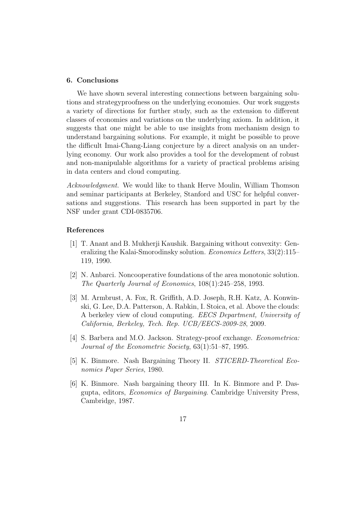#### **6. Conclusions**

We have shown several interesting connections between bargaining solutions and strategyproofness on the underlying economies. Our work suggests a variety of directions for further study, such as the extension to different classes of economies and variations on the underlying axiom. In addition, it suggests that one might be able to use insights from mechanism design to understand bargaining solutions. For example, it might be possible to prove the difficult Imai-Chang-Liang conjecture by a direct analysis on an underlying economy. Our work also provides a tool for the development of robust and non-manipulable algorithms for a variety of practical problems arising in data centers and cloud computing.

*Acknowledgment.* We would like to thank Herve Moulin, William Thomson and seminar participants at Berkeley, Stanford and USC for helpful conversations and suggestions. This research has been supported in part by the NSF under grant CDI-0835706.

#### **References**

- [1] T. Anant and B. Mukherji Kaushik. Bargaining without convexity: Generalizing the Kalai-Smorodinsky solution. *Economics Letters*, 33(2):115– 119, 1990.
- [2] N. Anbarci. Noncooperative foundations of the area monotonic solution. *The Quarterly Journal of Economics*, 108(1):245–258, 1993.
- [3] M. Armbrust, A. Fox, R. Griffith, A.D. Joseph, R.H. Katz, A. Konwinski, G. Lee, D.A. Patterson, A. Rabkin, I. Stoica, et al. Above the clouds: A berkeley view of cloud computing. *EECS Department, University of California, Berkeley, Tech. Rep. UCB/EECS-2009-28*, 2009.
- [4] S. Barbera and M.O. Jackson. Strategy-proof exchange. *Econometrica: Journal of the Econometric Society*, 63(1):51–87, 1995.
- [5] K. Binmore. Nash Bargaining Theory II. *STICERD-Theoretical Economics Paper Series*, 1980.
- [6] K. Binmore. Nash bargaining theory III. In K. Binmore and P. Dasgupta, editors, *Economics of Bargaining*. Cambridge University Press, Cambridge, 1987.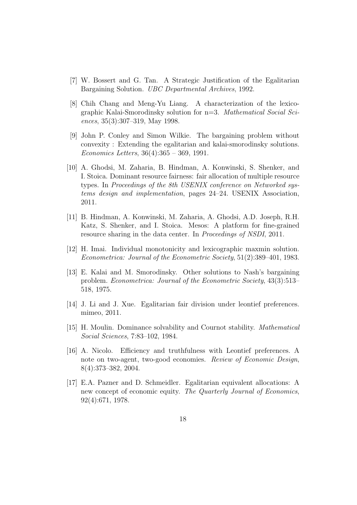- [7] W. Bossert and G. Tan. A Strategic Justification of the Egalitarian Bargaining Solution. *UBC Departmental Archives*, 1992.
- [8] Chih Chang and Meng-Yu Liang. A characterization of the lexicographic Kalai-Smorodinsky solution for n=3. *Mathematical Social Sciences*, 35(3):307–319, May 1998.
- [9] John P. Conley and Simon Wilkie. The bargaining problem without convexity : Extending the egalitarian and kalai-smorodinsky solutions. *Economics Letters*, 36(4):365 – 369, 1991.
- [10] A. Ghodsi, M. Zaharia, B. Hindman, A. Konwinski, S. Shenker, and I. Stoica. Dominant resource fairness: fair allocation of multiple resource types. In *Proceedings of the 8th USENIX conference on Networked systems design and implementation*, pages 24–24. USENIX Association, 2011.
- [11] B. Hindman, A. Konwinski, M. Zaharia, A. Ghodsi, A.D. Joseph, R.H. Katz, S. Shenker, and I. Stoica. Mesos: A platform for fine-grained resource sharing in the data center. In *Proceedings of NSDI*, 2011.
- [12] H. Imai. Individual monotonicity and lexicographic maxmin solution. *Econometrica: Journal of the Econometric Society*, 51(2):389–401, 1983.
- [13] E. Kalai and M. Smorodinsky. Other solutions to Nash's bargaining problem. *Econometrica: Journal of the Econometric Society*, 43(3):513– 518, 1975.
- [14] J. Li and J. Xue. Egalitarian fair division under leontief preferences. mimeo, 2011.
- [15] H. Moulin. Dominance solvability and Cournot stability. *Mathematical Social Sciences*, 7:83–102, 1984.
- [16] A. Nicolo. Efficiency and truthfulness with Leontief preferences. A note on two-agent, two-good economies. *Review of Economic Design*, 8(4):373–382, 2004.
- [17] E.A. Pazner and D. Schmeidler. Egalitarian equivalent allocations: A new concept of economic equity. *The Quarterly Journal of Economics*, 92(4):671, 1978.